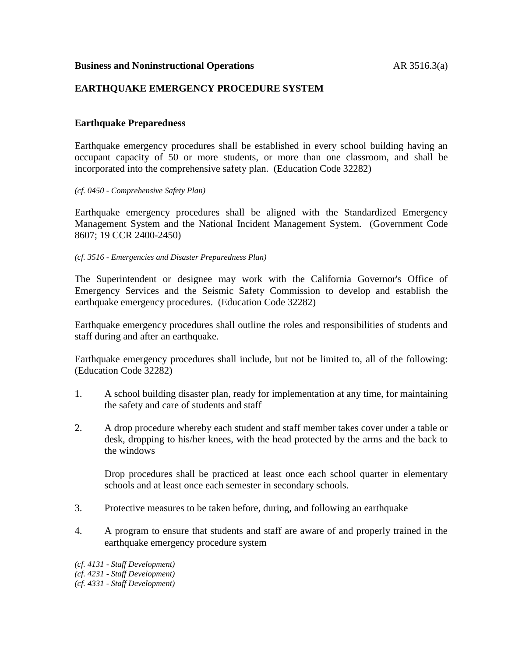### **Business and Noninstructional Operations AR 3516.3(a)**

## **EARTHQUAKE EMERGENCY PROCEDURE SYSTEM**

## **Earthquake Preparedness**

Earthquake emergency procedures shall be established in every school building having an occupant capacity of 50 or more students, or more than one classroom, and shall be incorporated into the comprehensive safety plan. (Education Code 32282)

#### *(cf. 0450 - Comprehensive Safety Plan)*

Earthquake emergency procedures shall be aligned with the Standardized Emergency Management System and the National Incident Management System. (Government Code 8607; 19 CCR 2400-2450)

*(cf. 3516 - Emergencies and Disaster Preparedness Plan)*

The Superintendent or designee may work with the California Governor's Office of Emergency Services and the Seismic Safety Commission to develop and establish the earthquake emergency procedures. (Education Code 32282)

Earthquake emergency procedures shall outline the roles and responsibilities of students and staff during and after an earthquake.

Earthquake emergency procedures shall include, but not be limited to, all of the following: (Education Code 32282)

- 1. A school building disaster plan, ready for implementation at any time, for maintaining the safety and care of students and staff
- 2. A drop procedure whereby each student and staff member takes cover under a table or desk, dropping to his/her knees, with the head protected by the arms and the back to the windows

Drop procedures shall be practiced at least once each school quarter in elementary schools and at least once each semester in secondary schools.

- 3. Protective measures to be taken before, during, and following an earthquake
- 4. A program to ensure that students and staff are aware of and properly trained in the earthquake emergency procedure system

*(cf. 4131 - Staff Development) (cf. 4231 - Staff Development) (cf. 4331 - Staff Development)*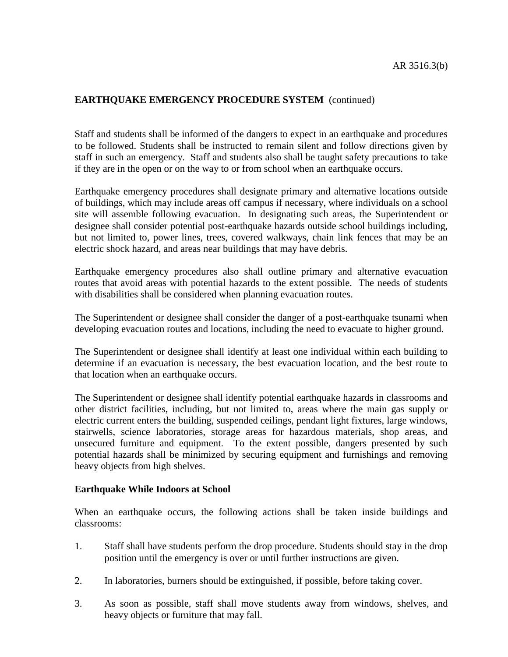## **EARTHQUAKE EMERGENCY PROCEDURE SYSTEM** (continued)

Staff and students shall be informed of the dangers to expect in an earthquake and procedures to be followed. Students shall be instructed to remain silent and follow directions given by staff in such an emergency. Staff and students also shall be taught safety precautions to take if they are in the open or on the way to or from school when an earthquake occurs.

Earthquake emergency procedures shall designate primary and alternative locations outside of buildings, which may include areas off campus if necessary, where individuals on a school site will assemble following evacuation. In designating such areas, the Superintendent or designee shall consider potential post-earthquake hazards outside school buildings including, but not limited to, power lines, trees, covered walkways, chain link fences that may be an electric shock hazard, and areas near buildings that may have debris.

Earthquake emergency procedures also shall outline primary and alternative evacuation routes that avoid areas with potential hazards to the extent possible. The needs of students with disabilities shall be considered when planning evacuation routes.

The Superintendent or designee shall consider the danger of a post-earthquake tsunami when developing evacuation routes and locations, including the need to evacuate to higher ground.

The Superintendent or designee shall identify at least one individual within each building to determine if an evacuation is necessary, the best evacuation location, and the best route to that location when an earthquake occurs.

The Superintendent or designee shall identify potential earthquake hazards in classrooms and other district facilities, including, but not limited to, areas where the main gas supply or electric current enters the building, suspended ceilings, pendant light fixtures, large windows, stairwells, science laboratories, storage areas for hazardous materials, shop areas, and unsecured furniture and equipment. To the extent possible, dangers presented by such potential hazards shall be minimized by securing equipment and furnishings and removing heavy objects from high shelves.

#### **Earthquake While Indoors at School**

When an earthquake occurs, the following actions shall be taken inside buildings and classrooms:

- 1. Staff shall have students perform the drop procedure. Students should stay in the drop position until the emergency is over or until further instructions are given.
- 2. In laboratories, burners should be extinguished, if possible, before taking cover.
- 3. As soon as possible, staff shall move students away from windows, shelves, and heavy objects or furniture that may fall.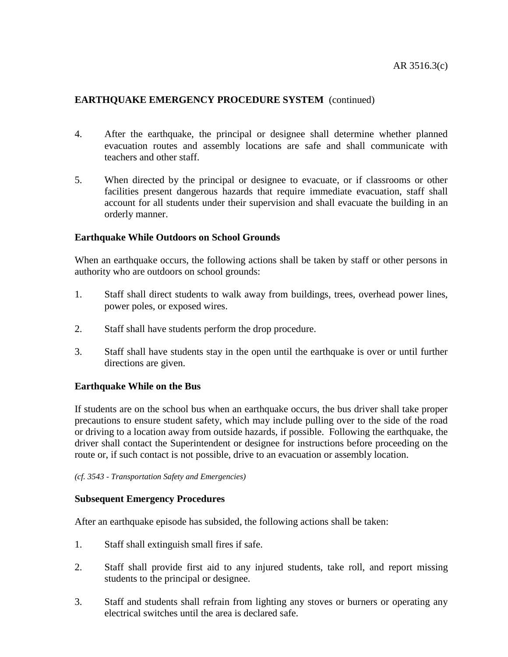# **EARTHQUAKE EMERGENCY PROCEDURE SYSTEM** (continued)

- 4. After the earthquake, the principal or designee shall determine whether planned evacuation routes and assembly locations are safe and shall communicate with teachers and other staff.
- 5. When directed by the principal or designee to evacuate, or if classrooms or other facilities present dangerous hazards that require immediate evacuation, staff shall account for all students under their supervision and shall evacuate the building in an orderly manner.

## **Earthquake While Outdoors on School Grounds**

When an earthquake occurs, the following actions shall be taken by staff or other persons in authority who are outdoors on school grounds:

- 1. Staff shall direct students to walk away from buildings, trees, overhead power lines, power poles, or exposed wires.
- 2. Staff shall have students perform the drop procedure.
- 3. Staff shall have students stay in the open until the earthquake is over or until further directions are given.

## **Earthquake While on the Bus**

If students are on the school bus when an earthquake occurs, the bus driver shall take proper precautions to ensure student safety, which may include pulling over to the side of the road or driving to a location away from outside hazards, if possible. Following the earthquake, the driver shall contact the Superintendent or designee for instructions before proceeding on the route or, if such contact is not possible, drive to an evacuation or assembly location.

*(cf. 3543 - Transportation Safety and Emergencies)*

## **Subsequent Emergency Procedures**

After an earthquake episode has subsided, the following actions shall be taken:

- 1. Staff shall extinguish small fires if safe.
- 2. Staff shall provide first aid to any injured students, take roll, and report missing students to the principal or designee.
- 3. Staff and students shall refrain from lighting any stoves or burners or operating any electrical switches until the area is declared safe.